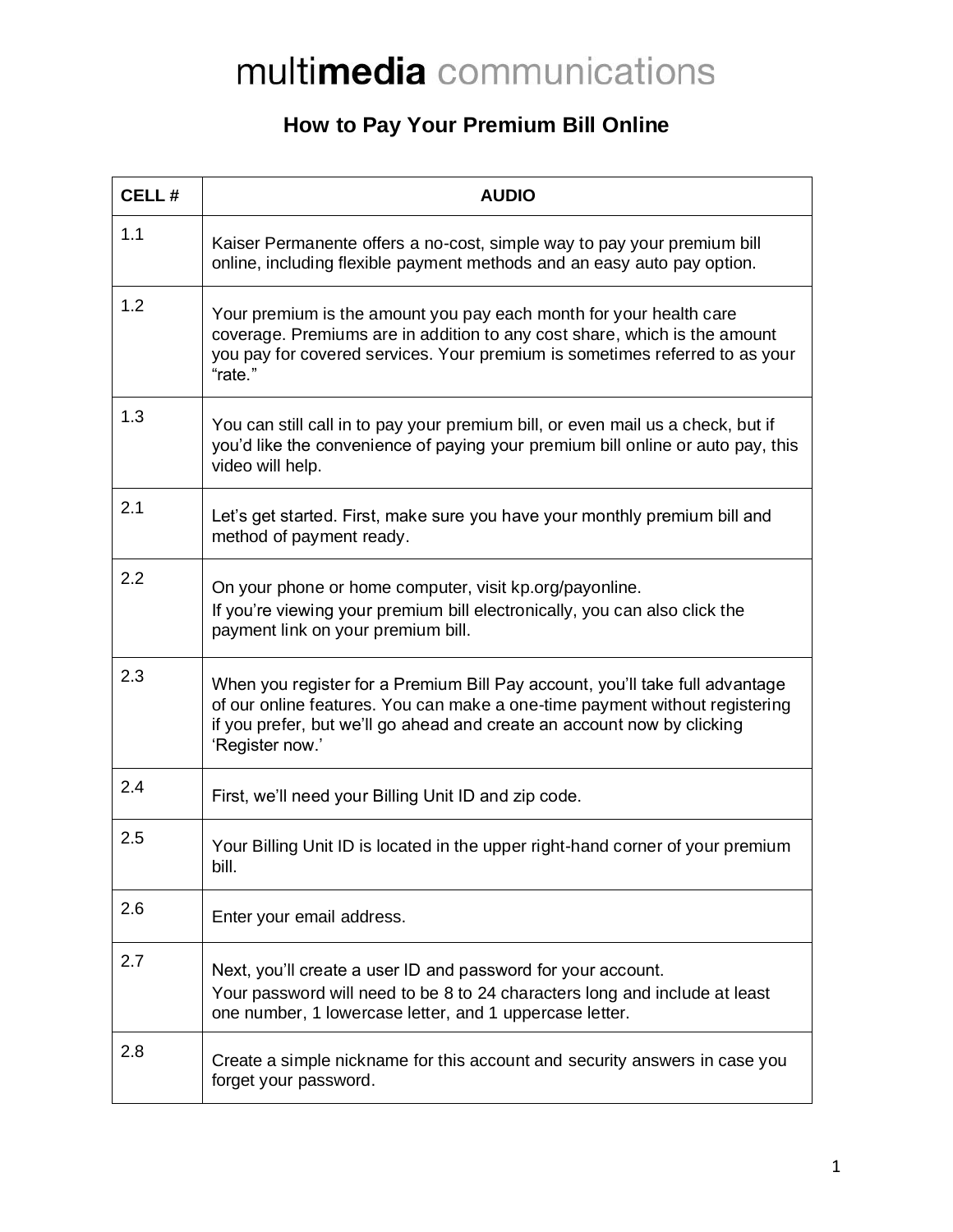## multimedia communications

## **How to Pay Your Premium Bill Online**

| <b>CELL#</b> | <b>AUDIO</b>                                                                                                                                                                                                                                              |
|--------------|-----------------------------------------------------------------------------------------------------------------------------------------------------------------------------------------------------------------------------------------------------------|
| 1.1          | Kaiser Permanente offers a no-cost, simple way to pay your premium bill<br>online, including flexible payment methods and an easy auto pay option.                                                                                                        |
| 1.2          | Your premium is the amount you pay each month for your health care<br>coverage. Premiums are in addition to any cost share, which is the amount<br>you pay for covered services. Your premium is sometimes referred to as your<br>"rate."                 |
| 1.3          | You can still call in to pay your premium bill, or even mail us a check, but if<br>you'd like the convenience of paying your premium bill online or auto pay, this<br>video will help.                                                                    |
| 2.1          | Let's get started. First, make sure you have your monthly premium bill and<br>method of payment ready.                                                                                                                                                    |
| 2.2          | On your phone or home computer, visit kp.org/payonline.<br>If you're viewing your premium bill electronically, you can also click the<br>payment link on your premium bill.                                                                               |
| 2.3          | When you register for a Premium Bill Pay account, you'll take full advantage<br>of our online features. You can make a one-time payment without registering<br>if you prefer, but we'll go ahead and create an account now by clicking<br>'Register now.' |
| 2.4          | First, we'll need your Billing Unit ID and zip code.                                                                                                                                                                                                      |
| 2.5          | Your Billing Unit ID is located in the upper right-hand corner of your premium<br>bill.                                                                                                                                                                   |
| 2.6          | Enter your email address.                                                                                                                                                                                                                                 |
| 2.7          | Next, you'll create a user ID and password for your account.<br>Your password will need to be 8 to 24 characters long and include at least<br>one number, 1 lowercase letter, and 1 uppercase letter.                                                     |
| 2.8          | Create a simple nickname for this account and security answers in case you<br>forget your password.                                                                                                                                                       |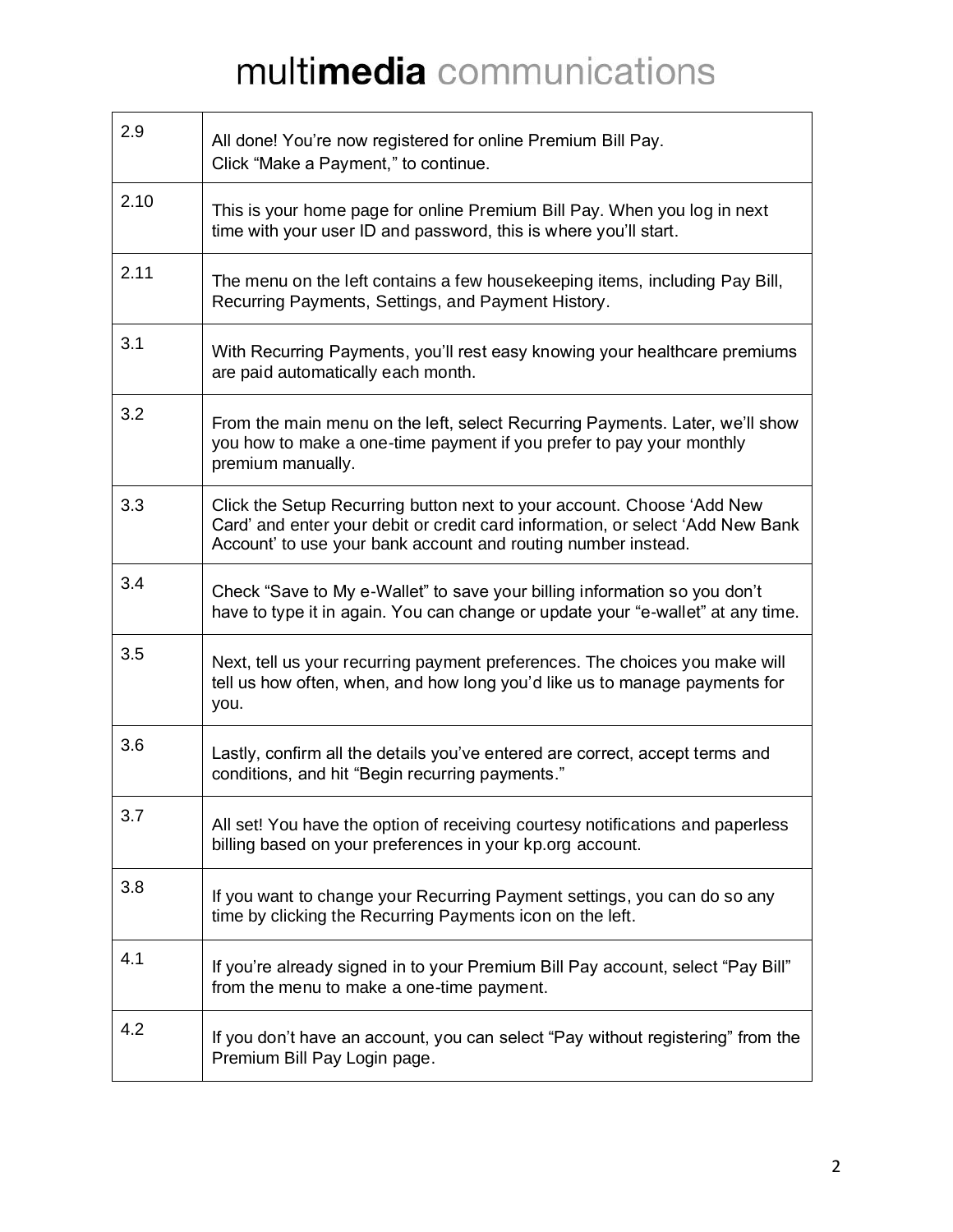## multimedia communications

| 2.9  | All done! You're now registered for online Premium Bill Pay.<br>Click "Make a Payment," to continue.                                                                                                                      |
|------|---------------------------------------------------------------------------------------------------------------------------------------------------------------------------------------------------------------------------|
| 2.10 | This is your home page for online Premium Bill Pay. When you log in next<br>time with your user ID and password, this is where you'll start.                                                                              |
| 2.11 | The menu on the left contains a few housekeeping items, including Pay Bill,<br>Recurring Payments, Settings, and Payment History.                                                                                         |
| 3.1  | With Recurring Payments, you'll rest easy knowing your healthcare premiums<br>are paid automatically each month.                                                                                                          |
| 3.2  | From the main menu on the left, select Recurring Payments. Later, we'll show<br>you how to make a one-time payment if you prefer to pay your monthly<br>premium manually.                                                 |
| 3.3  | Click the Setup Recurring button next to your account. Choose 'Add New<br>Card' and enter your debit or credit card information, or select 'Add New Bank<br>Account' to use your bank account and routing number instead. |
| 3.4  | Check "Save to My e-Wallet" to save your billing information so you don't<br>have to type it in again. You can change or update your "e-wallet" at any time.                                                              |
| 3.5  | Next, tell us your recurring payment preferences. The choices you make will<br>tell us how often, when, and how long you'd like us to manage payments for<br>you.                                                         |
| 3.6  | Lastly, confirm all the details you've entered are correct, accept terms and<br>conditions, and hit "Begin recurring payments."                                                                                           |
| 3.7  | All set! You have the option of receiving courtesy notifications and paperless<br>billing based on your preferences in your kp.org account.                                                                               |
| 3.8  | If you want to change your Recurring Payment settings, you can do so any<br>time by clicking the Recurring Payments icon on the left.                                                                                     |
| 4.1  | If you're already signed in to your Premium Bill Pay account, select "Pay Bill"<br>from the menu to make a one-time payment.                                                                                              |
| 4.2  | If you don't have an account, you can select "Pay without registering" from the<br>Premium Bill Pay Login page.                                                                                                           |